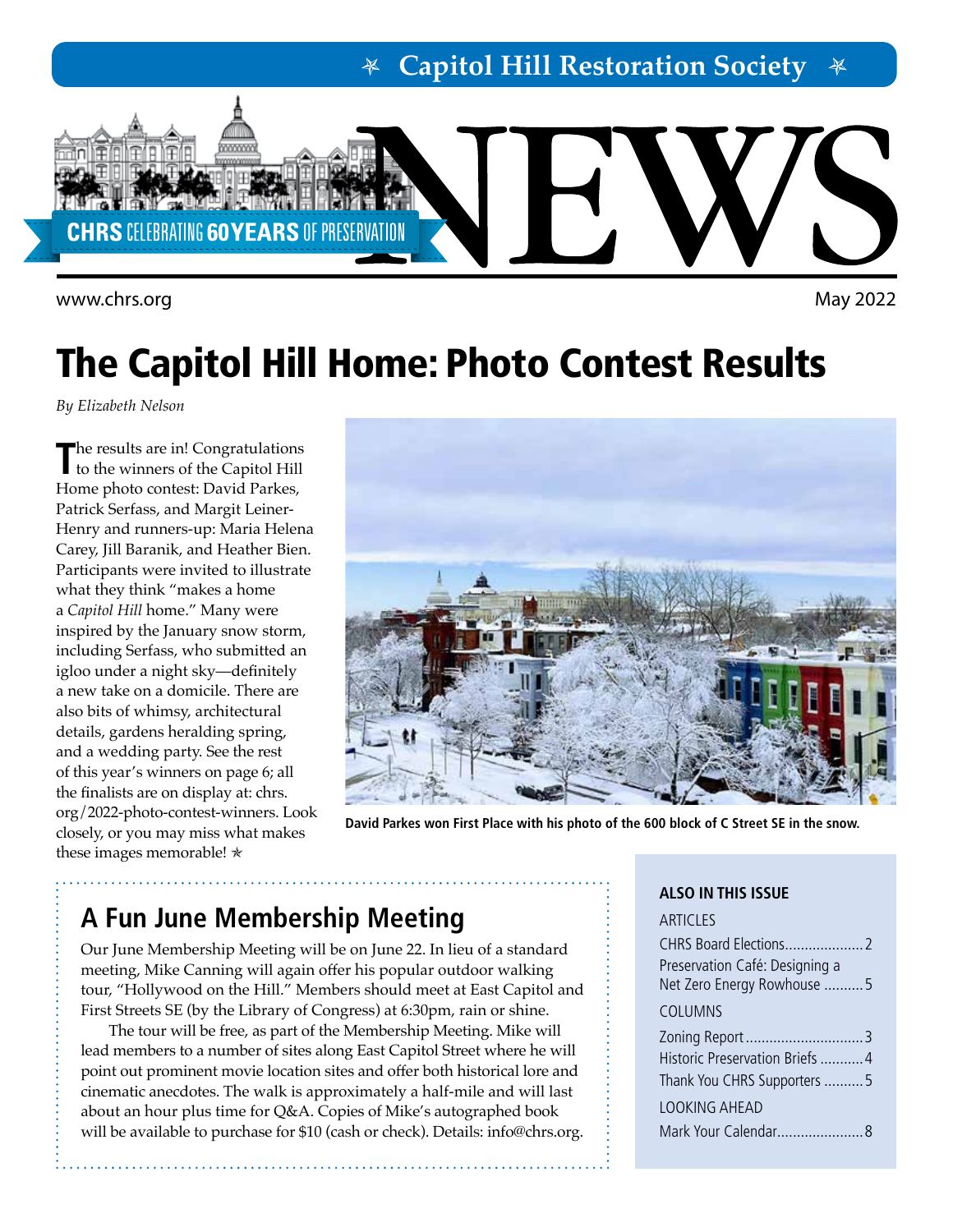# **Capitol Hill Restoration Society**



<www.chrs.org> May 2022

# The Capitol Hill Home: Photo Contest Results

*By Elizabeth Nelson*

**T**he results are in! Congratulations to the winners of the Capitol Hill Home photo contest: David Parkes, Patrick Serfass, and Margit Leiner-Henry and runners-up: Maria Helena Carey, Jill Baranik, and Heather Bien. Participants were invited to illustrate what they think "makes a home a *Capitol Hill* home." Many were inspired by the January snow storm, including Serfass, who submitted an igloo under a night sky—definitely a new take on a domicile. There are also bits of whimsy, architectural details, gardens heralding spring, and a wedding party. See the rest of this year's winners on page 6; all the finalists are on display at: [chrs.](http://chrs.org/2022-photo-contest-winners) [org/2022-photo-contest-winners.](http://chrs.org/2022-photo-contest-winners) Look closely, or you may miss what makes these images memorable!  $\star$ 



**David Parkes won First Place with his photo of the 600 block of C Street SE in the snow.**

# **A Fun June Membership Meeting**

Our June Membership Meeting will be on June 22. In lieu of a standard meeting, Mike Canning will again offer his popular outdoor walking tour, "Hollywood on the Hill." Members should meet at East Capitol and First Streets SE (by the Library of Congress) at 6:30pm, rain or shine.

The tour will be free, as part of the Membership Meeting. Mike will lead members to a number of sites along East Capitol Street where he will point out prominent movie location sites and offer both historical lore and cinematic anecdotes. The walk is approximately a half-mile and will last about an hour plus time for Q&A. Copies of Mike's autographed book will be available to purchase for \$10 (cash or check). Details: [info@chrs.org.](mailto:info%40chrs.org?subject=)

#### **ALSO IN THIS ISSUE**

| <b>ARTICLES</b>                                               |
|---------------------------------------------------------------|
|                                                               |
| Preservation Café: Designing a<br>Net Zero Energy Rowhouse  5 |
| COLUMNS                                                       |
|                                                               |
| Historic Preservation Briefs  4                               |
| Thank You CHRS Supporters 5                                   |
| LOOKING AHFAD                                                 |
|                                                               |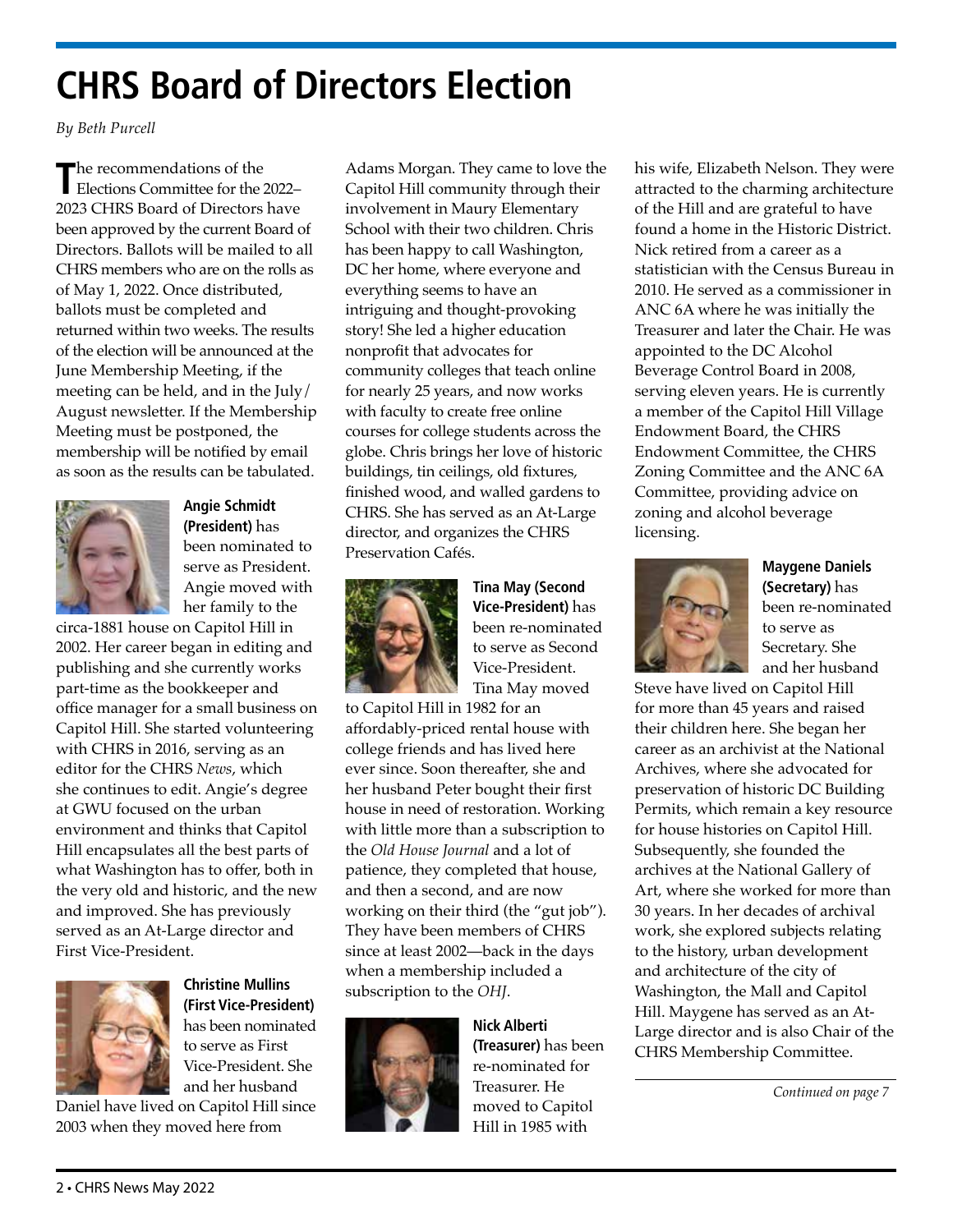# **CHRS Board of Directors Election**

*By Beth Purcell* 

The recommendations of the<br>Elections Committee for the 2022– 2023 CHRS Board of Directors have been approved by the current Board of Directors. Ballots will be mailed to all CHRS members who are on the rolls as of May 1, 2022. Once distributed, ballots must be completed and returned within two weeks. The results of the election will be announced at the June Membership Meeting, if the meeting can be held, and in the July/ August newsletter. If the Membership Meeting must be postponed, the membership will be notified by email as soon as the results can be tabulated.



**Angie Schmidt (President)** has been nominated to serve as President. Angie moved with her family to the

circa-1881 house on Capitol Hill in 2002. Her career began in editing and publishing and she currently works part-time as the bookkeeper and office manager for a small business on Capitol Hill. She started volunteering with CHRS in 2016, serving as an editor for the CHRS *News*, which she continues to edit. Angie's degree at GWU focused on the urban environment and thinks that Capitol Hill encapsulates all the best parts of what Washington has to offer, both in the very old and historic, and the new and improved. She has previously served as an At-Large director and First Vice-President.



**Christine Mullins (First Vice-President)**  has been nominated to serve as First Vice-President. She and her husband

Daniel have lived on Capitol Hill since 2003 when they moved here from

Adams Morgan. They came to love the Capitol Hill community through their involvement in Maury Elementary School with their two children. Chris has been happy to call Washington, DC her home, where everyone and everything seems to have an intriguing and thought-provoking story! She led a higher education nonprofit that advocates for community colleges that teach online for nearly 25 years, and now works with faculty to create free online courses for college students across the globe. Chris brings her love of historic buildings, tin ceilings, old fixtures, finished wood, and walled gardens to CHRS. She has served as an At-Large director, and organizes the CHRS Preservation Cafés.



**Tina May (Second Vice-President)** has been re-nominated to serve as Second Vice-President. Tina May moved

to Capitol Hill in 1982 for an affordably-priced rental house with college friends and has lived here ever since. Soon thereafter, she and her husband Peter bought their first house in need of restoration. Working with little more than a subscription to the *Old House Journal* and a lot of patience, they completed that house, and then a second, and are now working on their third (the "gut job"). They have been members of CHRS since at least 2002—back in the days when a membership included a subscription to the *OHJ*.



**Nick Alberti (Treasurer)** has been re-nominated for Treasurer. He moved to Capitol Hill in 1985 with

his wife, Elizabeth Nelson. They were attracted to the charming architecture of the Hill and are grateful to have found a home in the Historic District. Nick retired from a career as a statistician with the Census Bureau in 2010. He served as a commissioner in ANC 6A where he was initially the Treasurer and later the Chair. He was appointed to the DC Alcohol Beverage Control Board in 2008, serving eleven years. He is currently a member of the Capitol Hill Village Endowment Board, the CHRS Endowment Committee, the CHRS Zoning Committee and the ANC 6A Committee, providing advice on zoning and alcohol beverage licensing.



**Maygene Daniels (Secretary)** has been re-nominated to serve as Secretary. She and her husband

Steve have lived on Capitol Hill for more than 45 years and raised their children here. She began her career as an archivist at the National Archives, where she advocated for preservation of historic DC Building Permits, which remain a key resource for house histories on Capitol Hill. Subsequently, she founded the archives at the National Gallery of Art, where she worked for more than 30 years. In her decades of archival work, she explored subjects relating to the history, urban development and architecture of the city of Washington, the Mall and Capitol Hill. Maygene has served as an At-Large director and is also Chair of the CHRS Membership Committee.

*Continued on page 7*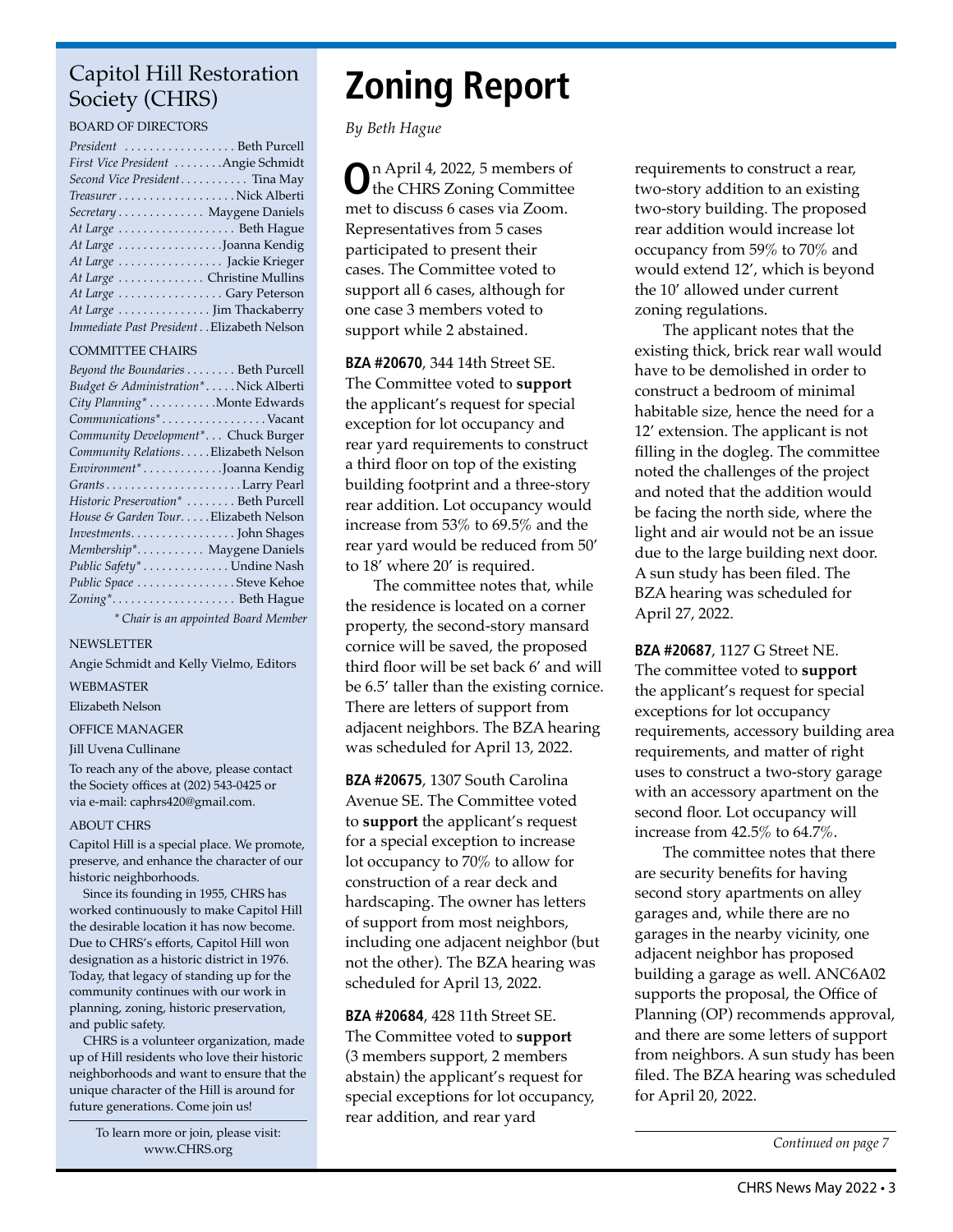## Capitol Hill Restoration Society (CHRS)

#### BOARD OF DIRECTORS

| President  Beth Purcell                   |
|-------------------------------------------|
| First Vice President Angie Schmidt        |
| Second Vice President Tina May            |
|                                           |
| Secretary Maygene Daniels                 |
| At Large Beth Hague                       |
| At Large Joanna Kendig                    |
| At Large  Jackie Krieger                  |
| At Large Christine Mullins                |
| At Large Gary Peterson                    |
| At Large  Jim Thackaberry                 |
| Immediate Past President Elizabeth Nelson |

#### COMMITTEE CHAIRS

| Beyond the Boundaries Beth Purcell    |
|---------------------------------------|
| Budget & Administration*Nick Alberti  |
| City Planning* Monte Edwards          |
| Communications*Vacant                 |
| Community Development* Chuck Burger   |
| Community Relations. Elizabeth Nelson |
| Environment* Joanna Kendig            |
|                                       |
| Historic Preservation*  Beth Purcell  |
| House & Garden TourElizabeth Nelson   |
|                                       |
| Membership* Maygene Daniels           |
| Public Safety* Undine Nash            |
| Public Space Steve Kehoe              |
| Zoning* Beth Hague                    |
| * Chair is an appointed Board Member  |

NEWSLETTER

#### Angie Schmidt and Kelly Vielmo, Editors

WEBMASTER

Elizabeth Nelson

#### OFFICE MANAGER

#### Jill Uvena Cullinane

To reach any of the above, please contact the Society offices at (202) 543-0425 or via e-mail: caphrs420@gmail.com.

#### ABOUT CHRS

Capitol Hill is a special place. We promote, preserve, and enhance the character of our historic neighborhoods.

Since its founding in 1955, CHRS has worked continuously to make Capitol Hill the desirable location it has now become. Due to CHRS's efforts, Capitol Hill won designation as a historic district in 1976. Today, that legacy of standing up for the community continues with our work in planning, zoning, historic preservation, and public safety.

CHRS is a volunteer organization, made up of Hill residents who love their historic neighborhoods and want to ensure that the unique character of the Hill is around for future generations. Come join us!

> To learn more or join, please visit: [www.CHRS.org](http://chrs.org/)

# **Zoning Report**

*By Beth Hague*

**O**n April 4, 2022, 5 members of the CHRS Zoning Committee met to discuss 6 cases via Zoom. Representatives from 5 cases participated to present their cases. The Committee voted to support all 6 cases, although for one case 3 members voted to support while 2 abstained.

**BZA #20670**, 344 14th Street SE. The Committee voted to **support** the applicant's request for special exception for lot occupancy and rear yard requirements to construct a third floor on top of the existing building footprint and a three-story rear addition. Lot occupancy would increase from 53% to 69.5% and the rear yard would be reduced from 50' to 18' where 20' is required.

The committee notes that, while the residence is located on a corner property, the second-story mansard cornice will be saved, the proposed third floor will be set back 6' and will be 6.5' taller than the existing cornice. There are letters of support from adjacent neighbors. The BZA hearing was scheduled for April 13, 2022.

**BZA #20675**, 1307 South Carolina Avenue SE. The Committee voted to **support** the applicant's request for a special exception to increase lot occupancy to 70% to allow for construction of a rear deck and hardscaping. The owner has letters of support from most neighbors, including one adjacent neighbor (but not the other). The BZA hearing was scheduled for April 13, 2022.

**BZA #20684**, 428 11th Street SE. The Committee voted to **support** (3 members support, 2 members abstain) the applicant's request for special exceptions for lot occupancy, rear addition, and rear yard

requirements to construct a rear, two-story addition to an existing two-story building. The proposed rear addition would increase lot occupancy from 59% to 70% and would extend 12', which is beyond the 10' allowed under current zoning regulations.

The applicant notes that the existing thick, brick rear wall would have to be demolished in order to construct a bedroom of minimal habitable size, hence the need for a 12' extension. The applicant is not filling in the dogleg. The committee noted the challenges of the project and noted that the addition would be facing the north side, where the light and air would not be an issue due to the large building next door. A sun study has been filed. The BZA hearing was scheduled for April 27, 2022.

**BZA #20687**, 1127 G Street NE. The committee voted to **support** the applicant's request for special exceptions for lot occupancy requirements, accessory building area requirements, and matter of right uses to construct a two-story garage with an accessory apartment on the second floor. Lot occupancy will increase from 42.5% to 64.7%.

The committee notes that there are security benefits for having second story apartments on alley garages and, while there are no garages in the nearby vicinity, one adjacent neighbor has proposed building a garage as well. ANC6A02 supports the proposal, the Office of Planning (OP) recommends approval, and there are some letters of support from neighbors. A sun study has been filed. The BZA hearing was scheduled for April 20, 2022.

*Continued on page 7*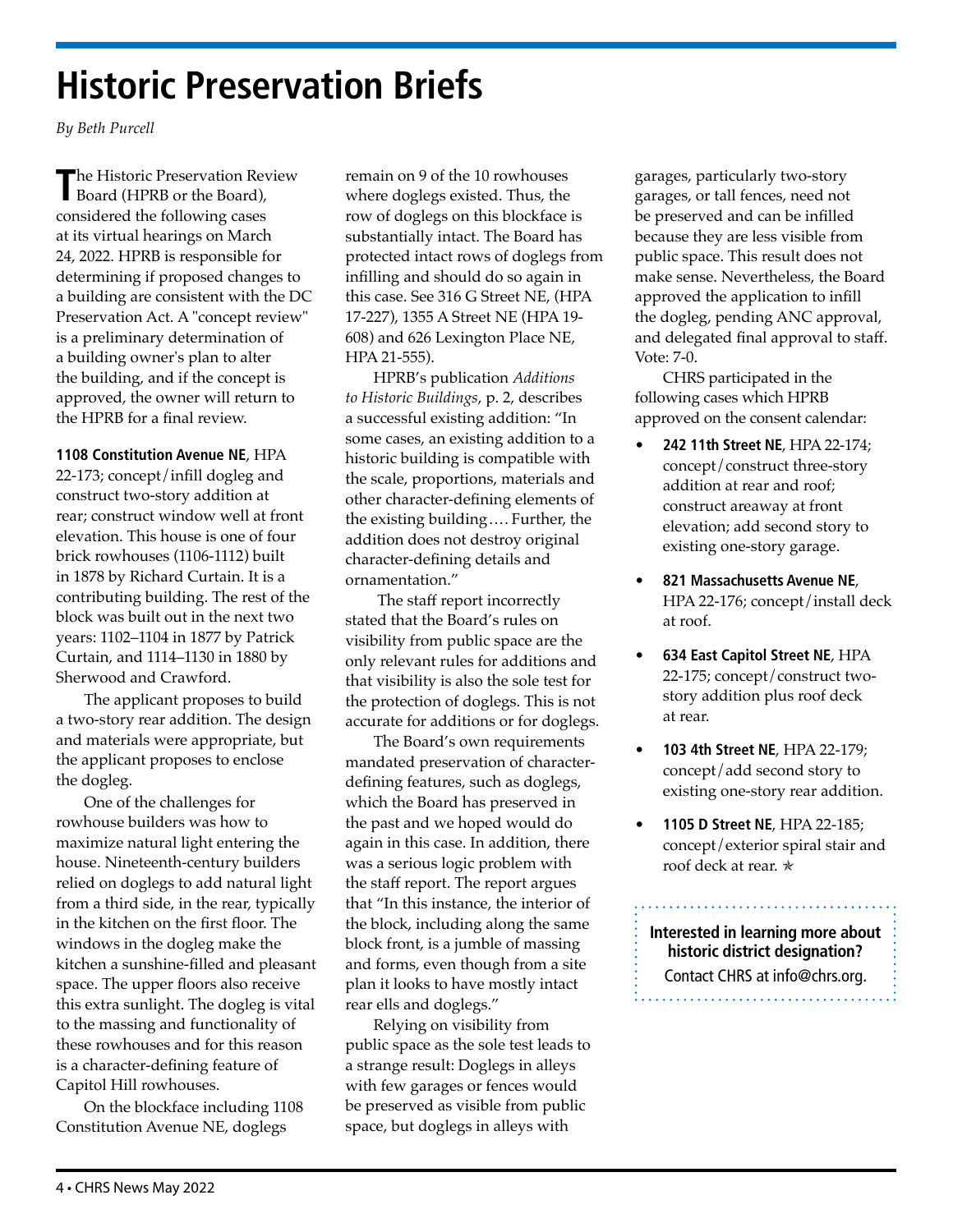# **Historic Preservation Briefs**

*By Beth Purcell* 

The Historic Preservation Review<br>Board (HPRB or the Board), considered the following cases at its virtual hearings on March 24, 2022. HPRB is responsible for determining if proposed changes to a building are consistent with the DC Preservation Act. A "concept review" is a preliminary determination of a building owner's plan to alter the building, and if the concept is approved, the owner will return to the HPRB for a final review.

**1108 Constitution Avenue NE**, HPA 22-173; concept/infill dogleg and construct two-story addition at rear; construct window well at front elevation. This house is one of four brick rowhouses (1106-1112) built in 1878 by Richard Curtain. It is a contributing building. The rest of the block was built out in the next two years: 1102–1104 in 1877 by Patrick Curtain, and 1114–1130 in 1880 by Sherwood and Crawford.

The applicant proposes to build a two-story rear addition. The design and materials were appropriate, but the applicant proposes to enclose the dogleg.

One of the challenges for rowhouse builders was how to maximize natural light entering the house. Nineteenth-century builders relied on doglegs to add natural light from a third side, in the rear, typically in the kitchen on the first floor. The windows in the dogleg make the kitchen a sunshine-filled and pleasant space. The upper floors also receive this extra sunlight. The dogleg is vital to the massing and functionality of these rowhouses and for this reason is a character-defining feature of Capitol Hill rowhouses.

On the blockface including 1108 Constitution Avenue NE, doglegs

remain on 9 of the 10 rowhouses where doglegs existed. Thus, the row of doglegs on this blockface is substantially intact. The Board has protected intact rows of doglegs from infilling and should do so again in this case. See 316 G Street NE, (HPA 17-227), 1355 A Street NE (HPA 19- 608) and 626 Lexington Place NE, HPA 21-555).

HPRB's publication *Additions to Historic Buildings*, p. 2, describes a successful existing addition: "In some cases, an existing addition to a historic building is compatible with the scale, proportions, materials and other character-defining elements of the existing building.… Further, the addition does not destroy original character-defining details and ornamentation."

 The staff report incorrectly stated that the Board's rules on visibility from public space are the only relevant rules for additions and that visibility is also the sole test for the protection of doglegs. This is not accurate for additions or for doglegs.

The Board's own requirements mandated preservation of characterdefining features, such as doglegs, which the Board has preserved in the past and we hoped would do again in this case. In addition, there was a serious logic problem with the staff report. The report argues that "In this instance, the interior of the block, including along the same block front, is a jumble of massing and forms, even though from a site plan it looks to have mostly intact rear ells and doglegs."

Relying on visibility from public space as the sole test leads to a strange result: Doglegs in alleys with few garages or fences would be preserved as visible from public space, but doglegs in alleys with

garages, particularly two-story garages, or tall fences, need not be preserved and can be infilled because they are less visible from public space. This result does not make sense. Nevertheless, the Board approved the application to infill the dogleg, pending ANC approval, and delegated final approval to staff. Vote: 7-0.

CHRS participated in the following cases which HPRB approved on the consent calendar:

- **242 11th Street NE**, HPA 22-174; concept/construct three-story addition at rear and roof; construct areaway at front elevation; add second story to existing one-story garage.
- **821 Massachusetts Avenue NE**, HPA 22-176; concept/install deck at roof.
- **634 East Capitol Street NE**, HPA 22-175; concept/construct twostory addition plus roof deck at rear.
- **103 4th Street NE**, HPA 22-179; concept/add second story to existing one-story rear addition.
- **1105 D Street NE**, HPA 22-185; concept/exterior spiral stair and roof deck at rear. <sup>★</sup>

### **Interested in learning more about historic district designation?** Contact CHRS at [info@chrs.org.](mailto:info%40chrs.org?subject=)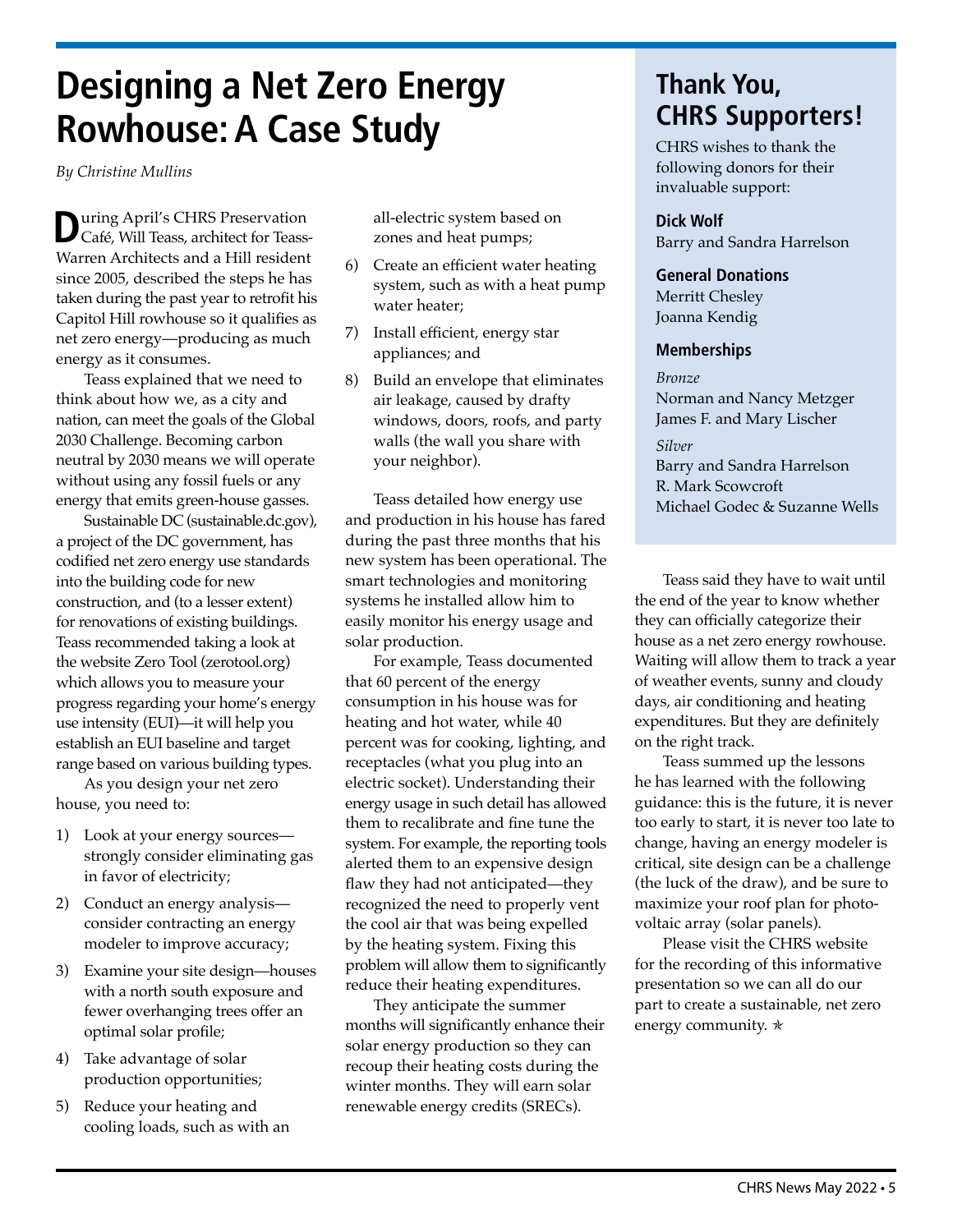# **Designing a Net Zero Energy Rowhouse: A Case Study**

*By Christine Mullins*

**D**uring April's CHRS Preservation Café, Will Teass, architect for Teass-Warren Architects and a Hill resident since 2005, described the steps he has taken during the past year to retrofit his Capitol Hill rowhouse so it qualifies as net zero energy—producing as much energy as it consumes.

Teass explained that we need to think about how we, as a city and nation, can meet the goals of the [Global](https://architecture2030.org/2030_challenges/2030_challenge_planning/)  [2030 Challenge.](https://architecture2030.org/2030_challenges/2030_challenge_planning/) Becoming carbon neutral by 2030 means we will operate without using any fossil fuels or any energy that emits green-house gasses.

Sustainable DC [\(sustainable.dc.gov\)](http://sustainable.dc.gov), a project of the DC government, has codified net zero energy use standards into the building code for new construction, and (to a lesser extent) for renovations of existing buildings. Teass recommended taking a look at the website Zero Tool [\(zerotool.org](http://zerotool.org)) which allows you to measure your progress regarding your home's energy use intensity (EUI)—it will help you establish an EUI baseline and target range based on various building types.

As you design your net zero house, you need to:

- 1) Look at your energy sources strongly consider eliminating gas in favor of electricity;
- 2) Conduct an energy analysis consider contracting an energy modeler to improve accuracy;
- 3) Examine your site design—houses with a north south exposure and fewer overhanging trees offer an optimal solar profile;
- 4) Take advantage of solar production opportunities;
- 5) Reduce your heating and cooling loads, such as with an

all-electric system based on zones and heat pumps;

- 6) Create an efficient water heating system, such as with a heat pump water heater;
- 7) Install efficient, energy star appliances; and
- 8) Build an envelope that eliminates air leakage, caused by drafty windows, doors, roofs, and party walls (the wall you share with your neighbor).

Teass detailed how energy use and production in his house has fared during the past three months that his new system has been operational. The smart technologies and monitoring systems he installed allow him to easily monitor his energy usage and solar production.

For example, Teass documented that 60 percent of the energy consumption in his house was for heating and hot water, while 40 percent was for cooking, lighting, and receptacles (what you plug into an electric socket). Understanding their energy usage in such detail has allowed them to recalibrate and fine tune the system. For example, the reporting tools alerted them to an expensive design flaw they had not anticipated—they recognized the need to properly vent the cool air that was being expelled by the heating system. Fixing this problem will allow them to significantly reduce their heating expenditures.

They anticipate the summer months will significantly enhance their solar energy production so they can recoup their heating costs during the winter months. They will earn solar renewable energy credits (SRECs).

# **Thank You, CHRS Supporters!**

CHRS wishes to thank the following donors for their invaluable support:

#### **Dick Wolf**

Barry and Sandra Harrelson

#### **General Donations**

Merritt Chesley Joanna Kendig

#### **Memberships**

*Bronze* Norman and Nancy Metzger James F. and Mary Lischer

*Silver* Barry and Sandra Harrelson R. Mark Scowcroft Michael Godec & Suzanne Wells

Teass said they have to wait until the end of the year to know whether they can officially categorize their house as a net zero energy rowhouse. Waiting will allow them to track a year of weather events, sunny and cloudy days, air conditioning and heating expenditures. But they are definitely on the right track.

Teass summed up the lessons he has learned with the following guidance: this is the future, it is never too early to start, it is never too late to change, having an energy modeler is critical, site design can be a challenge (the luck of the draw), and be sure to maximize your roof plan for photovoltaic array (solar panels).

Please visit the [CHRS website](https://chrs.org/designing-net-zero-row-house-pc/)  [for the recording of this informative](https://chrs.org/designing-net-zero-row-house-pc/)  [presentation](https://chrs.org/designing-net-zero-row-house-pc/) so we can all do our part to create a sustainable, net zero energy community.  $★$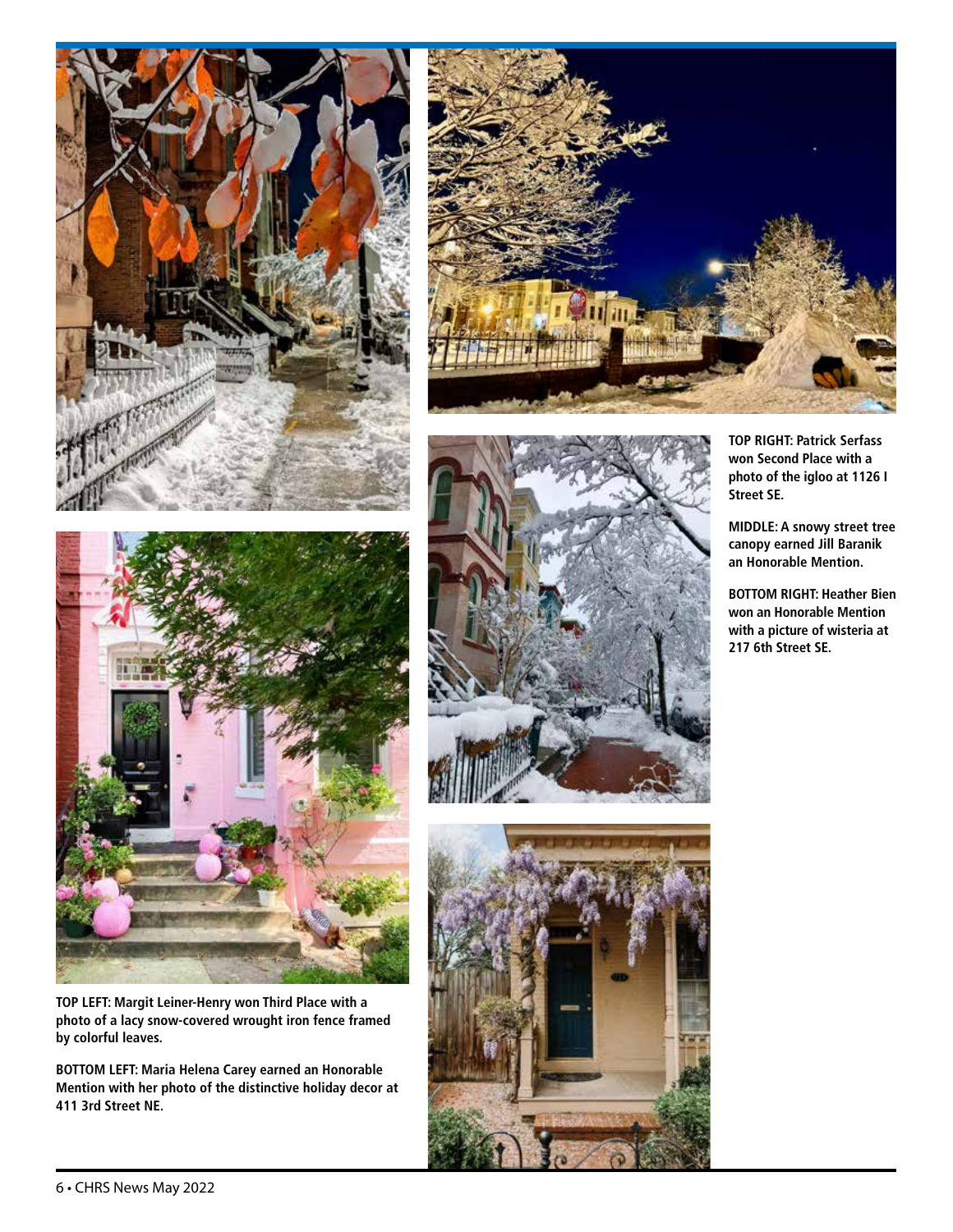





**TOP LEFT: Margit Leiner-Henry won Third Place with a photo of a lacy snow-covered wrought iron fence framed by colorful leaves.**

**BOTTOM LEFT: Maria Helena Carey earned an Honorable Mention with her photo of the distinctive holiday decor at 411 3rd Street NE.**



**TOP RIGHT: Patrick Serfass won Second Place with a photo of the igloo at 1126 I Street SE.**

**MIDDLE: A snowy street tree canopy earned Jill Baranik an Honorable Mention.**

**BOTTOM RIGHT: Heather Bien won an Honorable Mention with a picture of wisteria at 217 6th Street SE.**

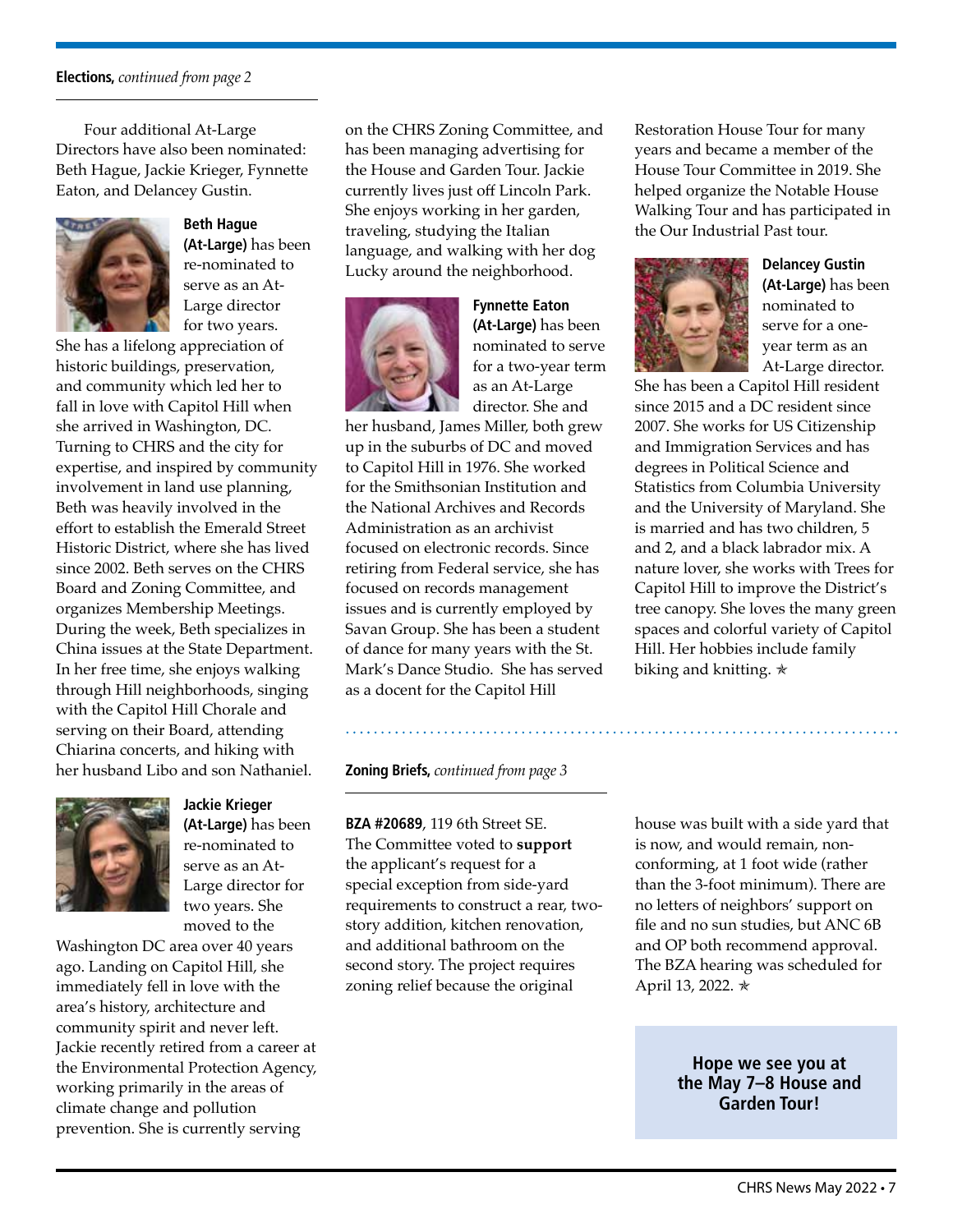#### **Elections,** *continued from page 2*

Four additional At-Large Directors have also been nominated: Beth Hague, Jackie Krieger, Fynnette Eaton, and Delancey Gustin.



# **Beth Hague**

**(At-Large)** has been re-nominated to serve as an At-Large director for two years.

She has a lifelong appreciation of historic buildings, preservation, and community which led her to fall in love with Capitol Hill when she arrived in Washington, DC. Turning to CHRS and the city for expertise, and inspired by community involvement in land use planning, Beth was heavily involved in the effort to establish the Emerald Street Historic District, where she has lived since 2002. Beth serves on the CHRS Board and Zoning Committee, and organizes Membership Meetings. During the week, Beth specializes in China issues at the State Department. In her free time, she enjoys walking through Hill neighborhoods, singing with the Capitol Hill Chorale and serving on their Board, attending Chiarina concerts, and hiking with her husband Libo and son Nathaniel.



**Jackie Krieger (At-Large)** has been re-nominated to serve as an At-Large director for two years. She moved to the

Washington DC area over 40 years ago. Landing on Capitol Hill, she immediately fell in love with the area's history, architecture and community spirit and never left. Jackie recently retired from a career at the Environmental Protection Agency, working primarily in the areas of climate change and pollution prevention. She is currently serving

on the CHRS Zoning Committee, and has been managing advertising for the House and Garden Tour. Jackie currently lives just off Lincoln Park. She enjoys working in her garden, traveling, studying the Italian language, and walking with her dog Lucky around the neighborhood.



**Fynnette Eaton (At-Large)** has been nominated to serve for a two-year term as an At-Large director. She and

her husband, James Miller, both grew up in the suburbs of DC and moved to Capitol Hill in 1976. She worked for the Smithsonian Institution and the National Archives and Records Administration as an archivist focused on electronic records. Since retiring from Federal service, she has focused on records management issues and is currently employed by Savan Group. She has been a student of dance for many years with the St. Mark's Dance Studio. She has served as a docent for the Capitol Hill

#### **Zoning Briefs,** *continued from page 3*

**BZA #20689**, 119 6th Street SE. The Committee voted to **support** the applicant's request for a special exception from side-yard requirements to construct a rear, twostory addition, kitchen renovation, and additional bathroom on the second story. The project requires zoning relief because the original

Restoration House Tour for many years and became a member of the House Tour Committee in 2019. She helped organize the Notable House Walking Tour and has participated in the Our Industrial Past tour.



**Delancey Gustin (At-Large)** has been nominated to serve for a oneyear term as an At-Large director.

She has been a Capitol Hill resident since 2015 and a DC resident since 2007. She works for US Citizenship and Immigration Services and has degrees in Political Science and Statistics from Columbia University and the University of Maryland. She is married and has two children, 5 and 2, and a black labrador mix. A nature lover, she works with Trees for Capitol Hill to improve the District's tree canopy. She loves the many green spaces and colorful variety of Capitol Hill. Her hobbies include family biking and knitting.  $\ast$ 

house was built with a side yard that is now, and would remain, nonconforming, at 1 foot wide (rather than the 3-foot minimum). There are no letters of neighbors' support on file and no sun studies, but ANC 6B and OP both recommend approval. The BZA hearing was scheduled for April 13, 2022. ✯

> **Hope we see you at the May 7–8 House and Garden Tour!**